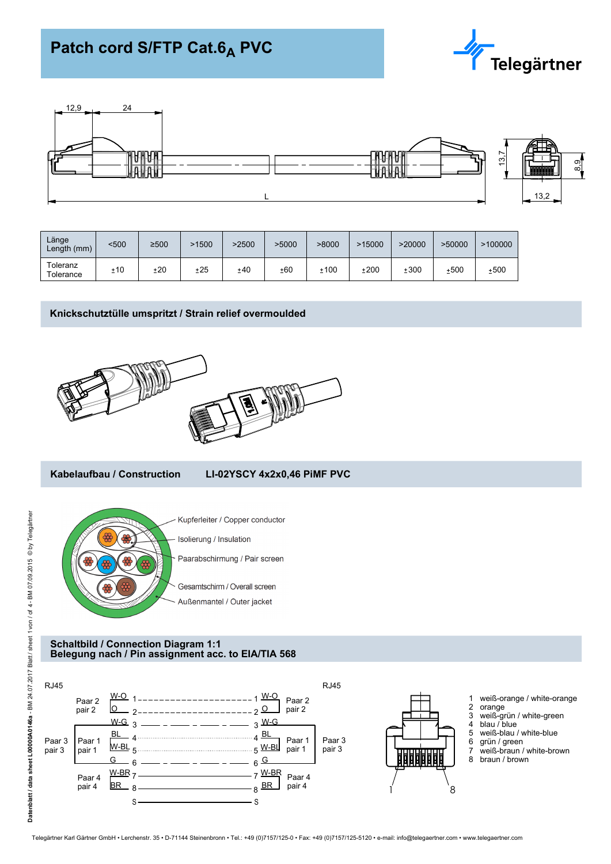# Patch cord S/FTP Cat.6<sub>A</sub> PVC





| Länge<br>Length (mm)  | $500$ | ≥500 | .1500 | 2500 | >5000 | >8000 | >15000 | >20000 | >50000 | >100000 |
|-----------------------|-------|------|-------|------|-------|-------|--------|--------|--------|---------|
| Toleranz<br>Tolerance | ±10   | ±20  | ±25   | ±40  | ±60   | ±100  | ±200   | ±300   | ±500   | ±500    |

## **Knickschutztülle umspritzt / Strain relief overmoulded**



## **Kabelaufbau / Construction LI-02YSCY 4x2x0,46 PiMF PVC**



#### **Schaltbild / Connection Diagram 1:1 Belegung nach / Pin assignment acc. to EIA/TIA 568**

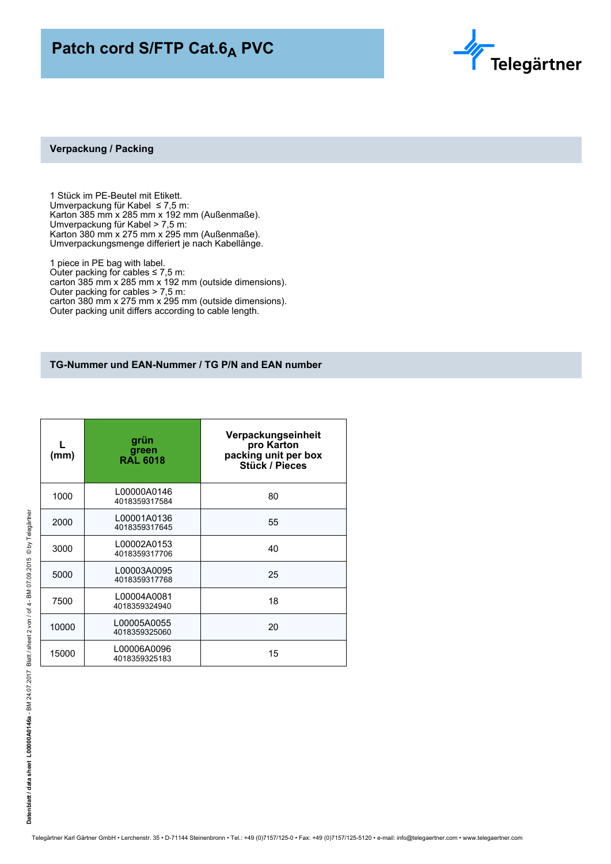## Patch cord S/FTP Cat.6<sub>A</sub> PVC



#### **Verpackung / Packing**

1 Stück im PE-Beutel mit Etikett. Umverpackung für Kabel ≤ 7,5 m: Karton 385 mm x 285 mm x 192 mm (Außenmaße). Umverpackung für Kabel > 7,5 m: Karton 380 mm x 275 mm x 295 mm (Außenmaße). Umverpackungsmenge differiert je nach Kabellänge.

1 piece in PE bag with label. Outer packing for cables  $\leq 7.5$  m: carton 385 mm x 285 mm x 192 mm (outside dimensions). Outer packing for cables > 7,5 m: carton 380 mm x 275 mm x 295 mm (outside dimensions). Outer packing unit differs according to cable length.

### **TG-Nummer und EAN-Nummer / TG P/N and EAN number**

| (mm)  | grün<br>green<br>RAL 6018    | Verpackungseinheit<br>pro Karton<br>packing unit per box<br><b>Stück / Pieces</b> |
|-------|------------------------------|-----------------------------------------------------------------------------------|
| 1000  | L00000A0146<br>4018359317584 | 80                                                                                |
| 2000  | L00001A0136<br>4018359317645 | 55                                                                                |
| 3000  | L00002A0153<br>4018359317706 | 40                                                                                |
| 5000  | L00003A0095<br>4018359317768 | 25                                                                                |
| 7500  | L00004A0081<br>4018359324940 | 18                                                                                |
| 10000 | L00005A0055<br>4018359325060 | 20                                                                                |
| 15000 | L00006A0096<br>4018359325183 | 15                                                                                |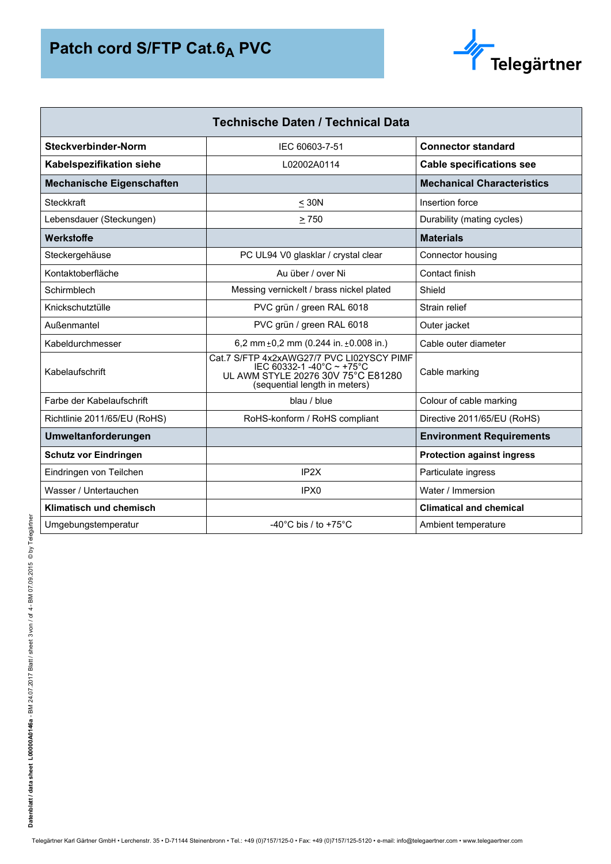

| <b>Technische Daten / Technical Data</b> |                                                                                                                                               |                                   |  |  |  |
|------------------------------------------|-----------------------------------------------------------------------------------------------------------------------------------------------|-----------------------------------|--|--|--|
| Steckverbinder-Norm                      | IEC 60603-7-51                                                                                                                                | <b>Connector standard</b>         |  |  |  |
| Kabelspezifikation siehe                 | L02002A0114                                                                                                                                   | <b>Cable specifications see</b>   |  |  |  |
| <b>Mechanische Eigenschaften</b>         |                                                                                                                                               | <b>Mechanical Characteristics</b> |  |  |  |
| Steckkraft                               | $\leq 30N$                                                                                                                                    | Insertion force                   |  |  |  |
| Lebensdauer (Steckungen)                 | > 750                                                                                                                                         | Durability (mating cycles)        |  |  |  |
| Werkstoffe                               |                                                                                                                                               | <b>Materials</b>                  |  |  |  |
| Steckergehäuse                           | PC UL94 V0 glasklar / crystal clear                                                                                                           | Connector housing                 |  |  |  |
| Kontaktoberfläche                        | Au über / over Ni                                                                                                                             | Contact finish                    |  |  |  |
| Schirmblech                              | Messing vernickelt / brass nickel plated                                                                                                      | Shield                            |  |  |  |
| Knickschutztülle                         | PVC grün / green RAL 6018                                                                                                                     | Strain relief                     |  |  |  |
| Außenmantel                              | PVC grün / green RAL 6018                                                                                                                     | Outer jacket                      |  |  |  |
| Kabeldurchmesser                         | 6,2 mm $\pm$ 0,2 mm (0.244 in. $\pm$ 0.008 in.)                                                                                               | Cable outer diameter              |  |  |  |
| Kabelaufschrift                          | Cat.7 S/FTP 4x2xAWG27/7 PVC LI02YSCY PIMF<br>IEC 60332-1 -40°C ~ +75°C<br>UL AWM STYLE 20276 30V 75°C E81280<br>(sequential length in meters) | Cable marking                     |  |  |  |
| Farbe der Kabelaufschrift                | blau / blue                                                                                                                                   | Colour of cable marking           |  |  |  |
| Richtlinie 2011/65/EU (RoHS)             | RoHS-konform / RoHS compliant                                                                                                                 | Directive 2011/65/EU (RoHS)       |  |  |  |
| Umweltanforderungen                      |                                                                                                                                               | <b>Environment Requirements</b>   |  |  |  |
| <b>Schutz vor Eindringen</b>             |                                                                                                                                               | <b>Protection against ingress</b> |  |  |  |
| Eindringen von Teilchen                  | IP <sub>2X</sub>                                                                                                                              | Particulate ingress               |  |  |  |
| Wasser / Untertauchen                    | IPX <sub>0</sub>                                                                                                                              | Water / Immersion                 |  |  |  |
| Klimatisch und chemisch                  |                                                                                                                                               | <b>Climatical and chemical</b>    |  |  |  |
| Umgebungstemperatur                      | -40 $^{\circ}$ C bis / to +75 $^{\circ}$ C                                                                                                    | Ambient temperature               |  |  |  |